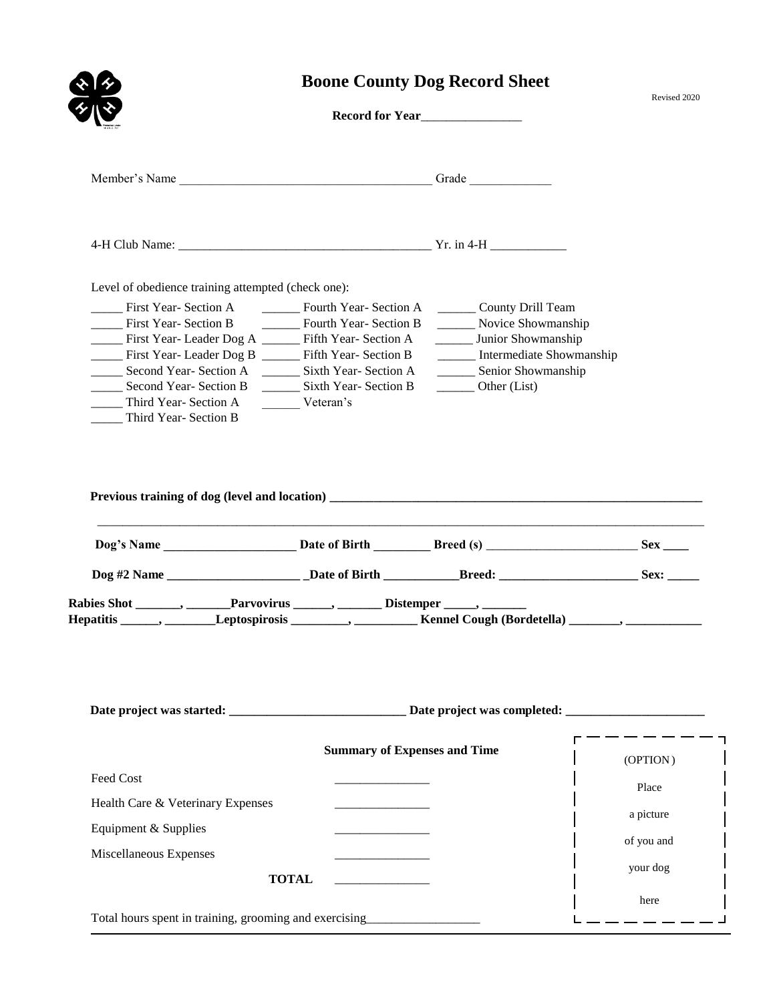|                                                                                                                                                                                                                                                                                                                                                              |                                                          | <b>Boone County Dog Record Sheet</b>                                                                                                                | Revised 2020 |
|--------------------------------------------------------------------------------------------------------------------------------------------------------------------------------------------------------------------------------------------------------------------------------------------------------------------------------------------------------------|----------------------------------------------------------|-----------------------------------------------------------------------------------------------------------------------------------------------------|--------------|
|                                                                                                                                                                                                                                                                                                                                                              |                                                          | Record for Year                                                                                                                                     |              |
|                                                                                                                                                                                                                                                                                                                                                              |                                                          |                                                                                                                                                     |              |
|                                                                                                                                                                                                                                                                                                                                                              |                                                          |                                                                                                                                                     |              |
| Level of obedience training attempted (check one):                                                                                                                                                                                                                                                                                                           |                                                          |                                                                                                                                                     |              |
| First Year- Section A Team Fourth Year- Section A Team County Drill Team<br>First Year-Section B _________ Fourth Year-Section B<br>First Year-Leader Dog A _____ Fifth Year-Section A<br>First Year-Leader Dog B _____ Fifth Year-Section B<br>Second Year-Section B _________ Sixth Year-Section B<br>_____ Third Year- Section A<br>Third Year- Section B | Veteran's                                                | Novice Showmanship<br>______ Junior Showmanship<br>_____ Intermediate Showmanship<br>______ Senior Showmanship<br>$\rule{1em}{0.15mm}$ Other (List) |              |
|                                                                                                                                                                                                                                                                                                                                                              |                                                          |                                                                                                                                                     |              |
|                                                                                                                                                                                                                                                                                                                                                              |                                                          |                                                                                                                                                     |              |
|                                                                                                                                                                                                                                                                                                                                                              |                                                          |                                                                                                                                                     |              |
| Rabies Shot _______, _______Parvovirus ______, ________ Distemper _____, _______<br>Hepatitis _______, ________Leptospirosis _________, _______________Kennel Cough (Bordetella) _______, ___________                                                                                                                                                        |                                                          |                                                                                                                                                     |              |
|                                                                                                                                                                                                                                                                                                                                                              | <b>Summary of Expenses and Time</b>                      |                                                                                                                                                     |              |
| Feed Cost                                                                                                                                                                                                                                                                                                                                                    |                                                          |                                                                                                                                                     | (OPTION)     |
| Health Care & Veterinary Expenses                                                                                                                                                                                                                                                                                                                            | <u> 1989 - Johann Barbara, martxa a shekara 1989 - A</u> |                                                                                                                                                     | Place        |
|                                                                                                                                                                                                                                                                                                                                                              |                                                          |                                                                                                                                                     | a picture    |
| Equipment & Supplies                                                                                                                                                                                                                                                                                                                                         |                                                          |                                                                                                                                                     | of you and   |
| Miscellaneous Expenses                                                                                                                                                                                                                                                                                                                                       | <b>TOTAL</b>                                             |                                                                                                                                                     | your dog     |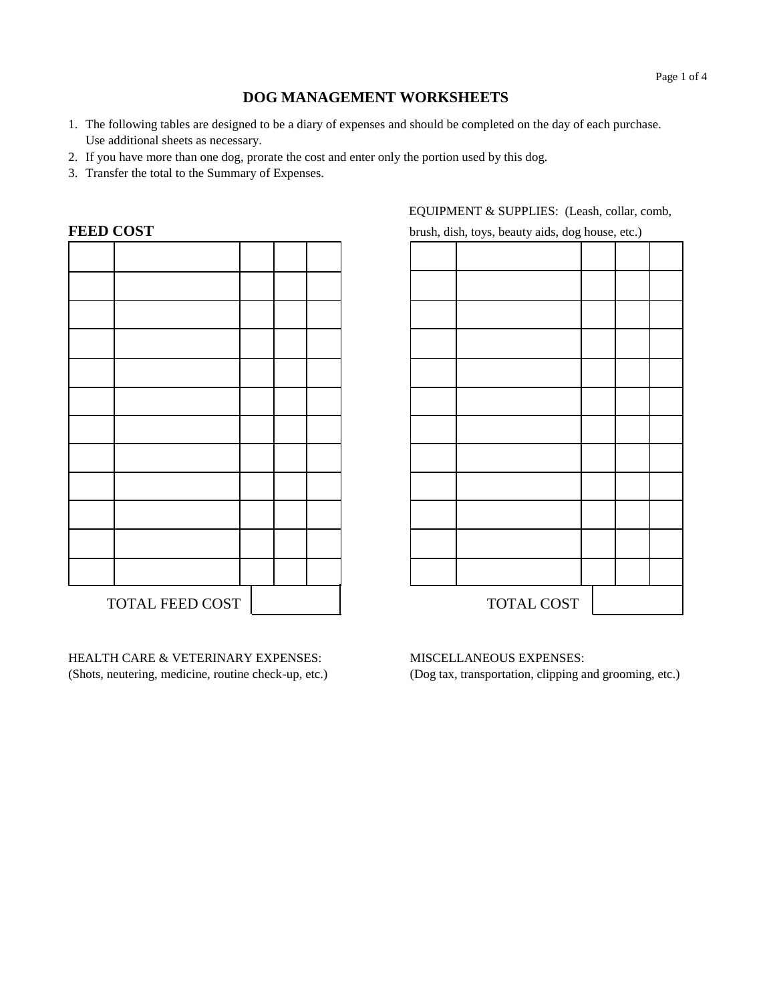## **DOG MANAGEMENT WORKSHEETS**

- 1. The following tables are designed to be a diary of expenses and should be completed on the day of each purchase. Use additional sheets as necessary.
- 2. If you have more than one dog, prorate the cost and enter only the portion used by this dog.
- 3. Transfer the total to the Summary of Expenses.

| <b>FEED COST</b> |                                       |  |  | brush, dish, toys, beauty aids, dog house, etc.) |  |
|------------------|---------------------------------------|--|--|--------------------------------------------------|--|
|                  |                                       |  |  |                                                  |  |
|                  |                                       |  |  |                                                  |  |
|                  |                                       |  |  |                                                  |  |
|                  |                                       |  |  |                                                  |  |
|                  |                                       |  |  |                                                  |  |
|                  |                                       |  |  |                                                  |  |
|                  |                                       |  |  |                                                  |  |
|                  |                                       |  |  |                                                  |  |
|                  |                                       |  |  |                                                  |  |
|                  |                                       |  |  |                                                  |  |
|                  |                                       |  |  |                                                  |  |
|                  |                                       |  |  |                                                  |  |
|                  |                                       |  |  |                                                  |  |
|                  | $\alpha$ $\alpha$ $\pi$<br>$\sqrt{2}$ |  |  | TOMI T AOM                                       |  |

HEALTH CARE & VETERINARY EXPENSES: (Shots, neutering, medicine, routine check-up, etc.) EQUIPMENT & SUPPLIES: (Leash, collar, comb,

TOTAL FEED COST | TOTAL COST

## MISCELLANEOUS EXPENSES:

(Dog tax, transportation, clipping and grooming, etc.)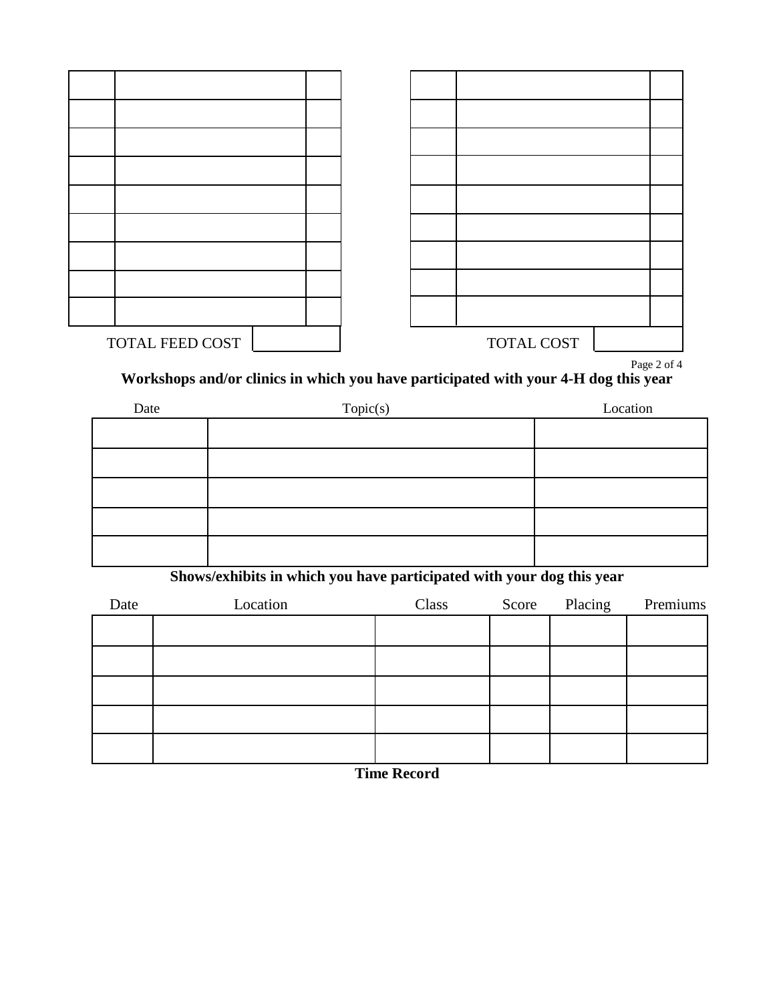| TOTAL FEED COST |  | TOTAL COST |  |  |
|-----------------|--|------------|--|--|

Page 2 of 4

**Workshops and/or clinics in which you have participated with your 4-H dog this year**

| Date | Topic(s) | Location |  |  |
|------|----------|----------|--|--|
|      |          |          |  |  |
|      |          |          |  |  |
|      |          |          |  |  |
|      |          |          |  |  |
|      |          |          |  |  |

**Shows/exhibits in which you have participated with your dog this year**

| Date | Location | Class | Score Placing | Premiums |
|------|----------|-------|---------------|----------|
|      |          |       |               |          |
|      |          |       |               |          |
|      |          |       |               |          |
|      |          |       |               |          |
|      |          |       |               |          |
|      |          |       |               |          |

**Time Record**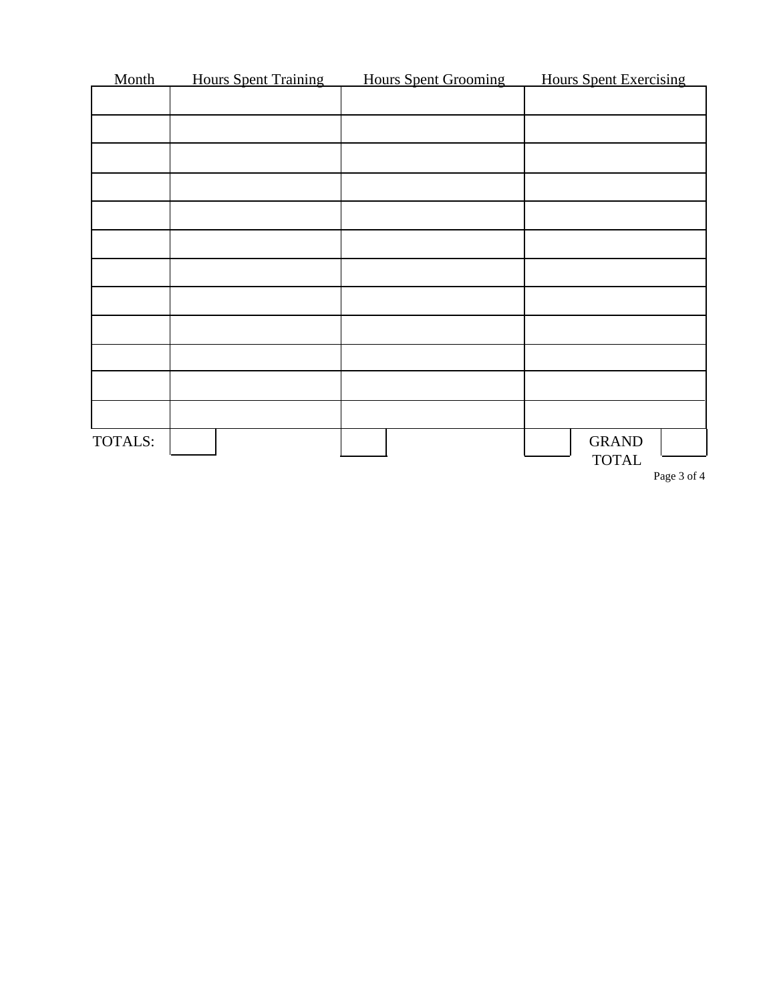| Month   | <b>Hours Spent Training</b> | <b>Hours Spent Grooming</b> | <b>Hours Spent Exercising</b>        |
|---------|-----------------------------|-----------------------------|--------------------------------------|
|         |                             |                             |                                      |
|         |                             |                             |                                      |
|         |                             |                             |                                      |
|         |                             |                             |                                      |
|         |                             |                             |                                      |
|         |                             |                             |                                      |
|         |                             |                             |                                      |
|         |                             |                             |                                      |
|         |                             |                             |                                      |
|         |                             |                             |                                      |
|         |                             |                             |                                      |
|         |                             |                             |                                      |
| TOTALS: |                             |                             | <b>GRAND</b>                         |
|         |                             |                             | <b>TOTAL</b><br>$D_{0.02}$ $2.6$ $4$ |

Page 3 of 4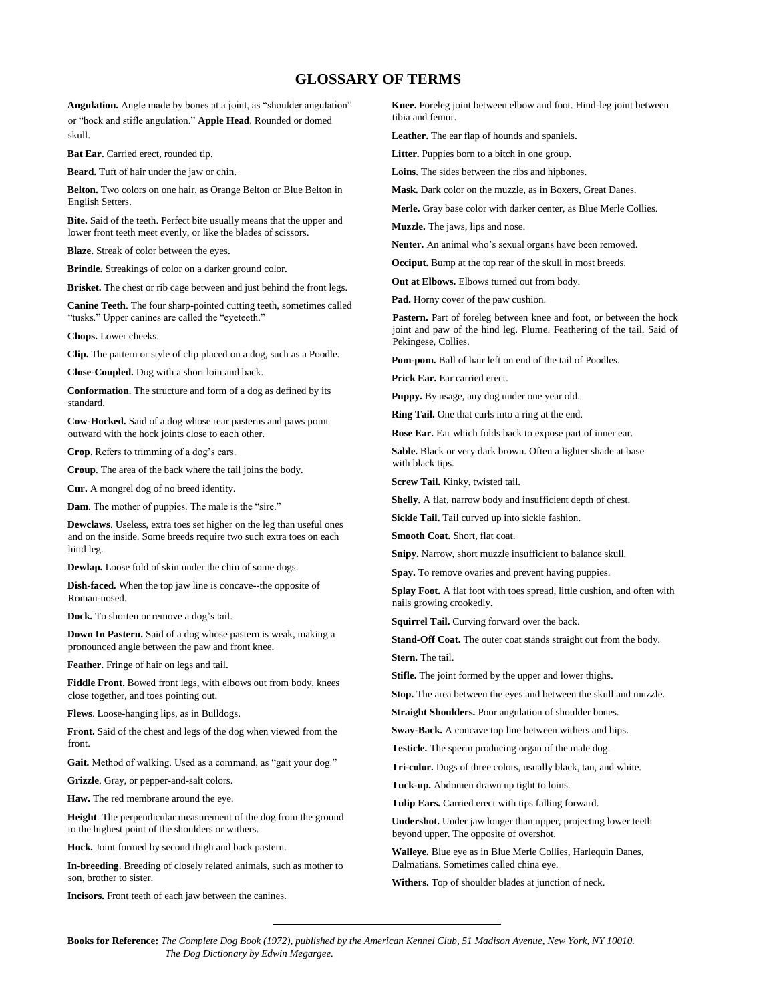## **GLOSSARY OF TERMS**

**Angulation.** Angle made by bones at a joint, as "shoulder angulation" or "hock and stifle angulation." **Apple Head**. Rounded or domed skull.

**Bat Ear**. Carried erect, rounded tip.

**Beard.** Tuft of hair under the jaw or chin.

**Belton.** Two colors on one hair, as Orange Belton or Blue Belton in English Setters.

**Bite.** Said of the teeth. Perfect bite usually means that the upper and lower front teeth meet evenly, or like the blades of scissors.

**Blaze.** Streak of color between the eyes.

**Brindle.** Streakings of color on a darker ground color.

**Brisket.** The chest or rib cage between and just behind the front legs.

**Canine Teeth**. The four sharp-pointed cutting teeth, sometimes called "tusks." Upper canines are called the "eyeteeth."

**Chops.** Lower cheeks.

**Clip.** The pattern or style of clip placed on a dog, such as a Poodle.

**Close-Coupled.** Dog with a short loin and back.

**Conformation**. The structure and form of a dog as defined by its standard.

**Cow-Hocked.** Said of a dog whose rear pasterns and paws point outward with the hock joints close to each other.

**Crop**. Refers to trimming of a dog's ears.

**Croup**. The area of the back where the tail joins the body.

**Cur.** A mongrel dog of no breed identity.

**Dam**. The mother of puppies. The male is the "sire."

**Dewclaws**. Useless, extra toes set higher on the leg than useful ones and on the inside. Some breeds require two such extra toes on each hind leg.

**Dewlap.** Loose fold of skin under the chin of some dogs.

**Dish-faced.** When the top jaw line is concave--the opposite of Roman-nosed.

**Dock.** To shorten or remove a dog's tail.

**Down In Pastern.** Said of a dog whose pastern is weak, making a pronounced angle between the paw and front knee.

**Feather**. Fringe of hair on legs and tail.

**Fiddle Front**. Bowed front legs, with elbows out from body, knees close together, and toes pointing out.

**Flews**. Loose-hanging lips, as in Bulldogs.

**Front.** Said of the chest and legs of the dog when viewed from the front.

**Gait.** Method of walking. Used as a command, as "gait your dog."

**Grizzle**. Gray, or pepper-and-salt colors.

**Haw.** The red membrane around the eye.

**Height**. The perpendicular measurement of the dog from the ground to the highest point of the shoulders or withers.

**Hock.** Joint formed by second thigh and back pastern.

**In-breeding**. Breeding of closely related animals, such as mother to son, brother to sister.

**Incisors.** Front teeth of each jaw between the canines.

**Knee.** Foreleg joint between elbow and foot. Hind-leg joint between tibia and femur.

**Leather.** The ear flap of hounds and spaniels.

**Litter.** Puppies born to a bitch in one group.

**Loins**. The sides between the ribs and hipbones.

**Mask.** Dark color on the muzzle, as in Boxers, Great Danes.

**Merle.** Gray base color with darker center, as Blue Merle Collies.

**Muzzle.** The jaws, lips and nose.

**Neuter.** An animal who's sexual organs have been removed.

**Occiput.** Bump at the top rear of the skull in most breeds.

**Out at Elbows.** Elbows turned out from body.

**Pad.** Horny cover of the paw cushion.

Pastern. Part of foreleg between knee and foot, or between the hock joint and paw of the hind leg. Plume. Feathering of the tail. Said of Pekingese, Collies.

**Pom-pom.** Ball of hair left on end of the tail of Poodles.

**Prick Ear.** Ear carried erect.

**Puppy.** By usage, any dog under one year old.

**Ring Tail.** One that curls into a ring at the end.

**Rose Ear.** Ear which folds back to expose part of inner ear.

**Sable.** Black or very dark brown. Often a lighter shade at base with black tips.

**Screw Tail.** Kinky, twisted tail.

**Shelly.** A flat, narrow body and insufficient depth of chest.

**Sickle Tail.** Tail curved up into sickle fashion.

**Smooth Coat.** Short, flat coat.

**Snipy.** Narrow, short muzzle insufficient to balance skull.

**Spay.** To remove ovaries and prevent having puppies.

**Splay Foot.** A flat foot with toes spread, little cushion, and often with nails growing crookedly.

**Squirrel Tail.** Curving forward over the back.

**Stand-Off Coat.** The outer coat stands straight out from the body.

**Stern.** The tail.

**Stifle.** The joint formed by the upper and lower thighs.

**Stop.** The area between the eyes and between the skull and muzzle.

**Straight Shoulders.** Poor angulation of shoulder bones.

**Sway-Back.** A concave top line between withers and hips.

**Testicle.** The sperm producing organ of the male dog.

**Tri-color.** Dogs of three colors, usually black, tan, and white.

**Tuck-up.** Abdomen drawn up tight to loins.

**Tulip Ears.** Carried erect with tips falling forward.

**Undershot.** Under jaw longer than upper, projecting lower teeth beyond upper. The opposite of overshot.

**Walleye.** Blue eye as in Blue Merle Collies, Harlequin Danes, Dalmatians. Sometimes called china eye.

**Withers.** Top of shoulder blades at junction of neck.

**Books for Reference:** *The Complete Dog Book (1972), published by the American Kennel Club, 51 Madison Avenue, New York, NY 10010. The Dog Dictionary by Edwin Megargee.*